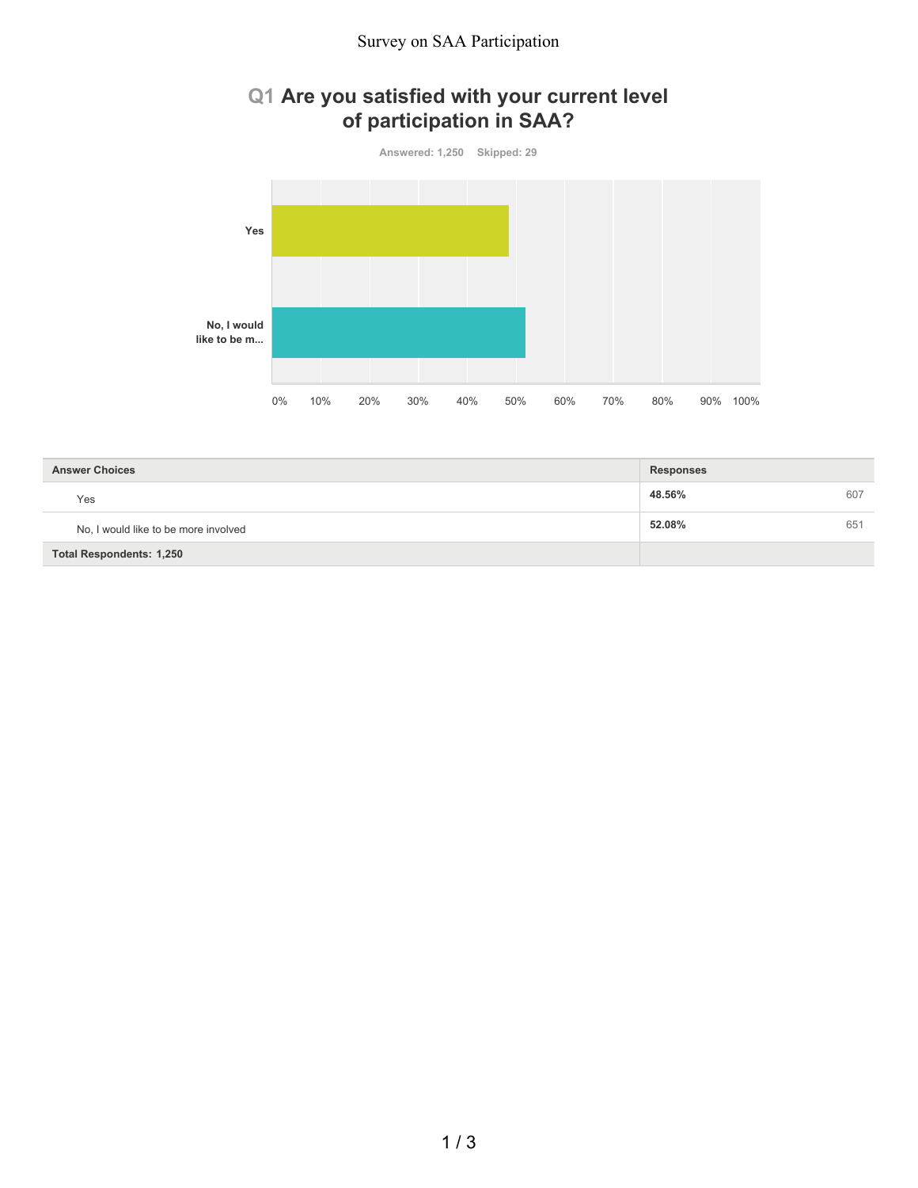## **Q1 Are you satisfied with your current level of participation in SAA?**



| <b>Answer Choices</b>                | <b>Responses</b> |     |
|--------------------------------------|------------------|-----|
| Yes                                  | 48.56%           | 607 |
| No, I would like to be more involved | 52.08%           | 651 |
| <b>Total Respondents: 1,250</b>      |                  |     |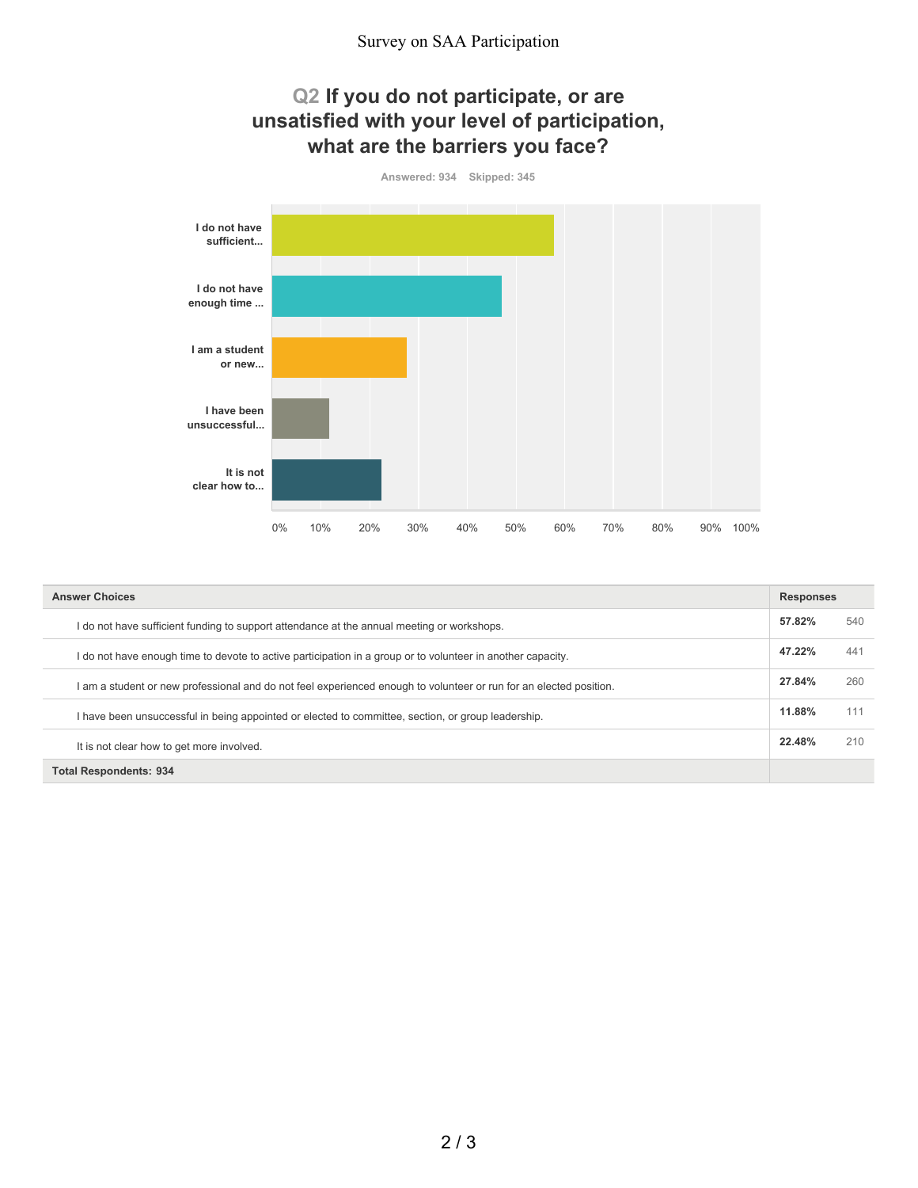## **Q2 If you do not participate, or are unsatisfied with your level of participation, what are the barriers you face?**



| <b>Answer Choices</b>                                                                                              |        | <b>Responses</b> |  |
|--------------------------------------------------------------------------------------------------------------------|--------|------------------|--|
| I do not have sufficient funding to support attendance at the annual meeting or workshops.                         | 57.82% | 540              |  |
| I do not have enough time to devote to active participation in a group or to volunteer in another capacity.        | 47.22% | 441              |  |
| I am a student or new professional and do not feel experienced enough to volunteer or run for an elected position. | 27.84% | 260              |  |
| I have been unsuccessful in being appointed or elected to committee, section, or group leadership.                 | 11.88% |                  |  |
| It is not clear how to get more involved.                                                                          | 22.48% | 210              |  |
| <b>Total Respondents: 934</b>                                                                                      |        |                  |  |